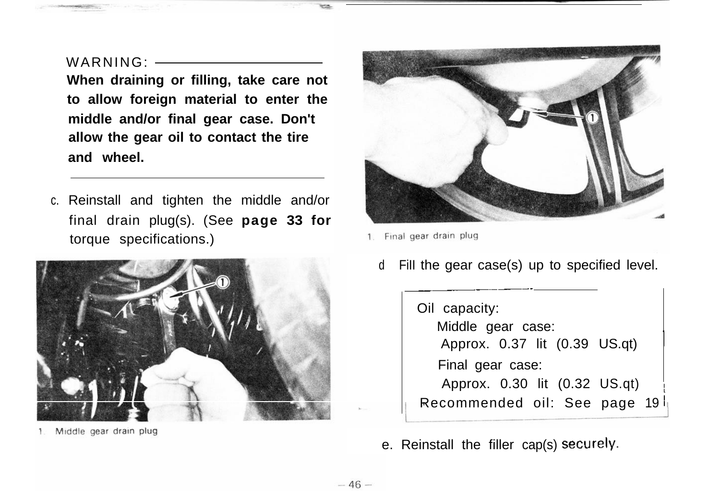## WARNING : \_\_\_\_\_\_

**When draining or filling, take care not to allow foreign material to enter the middle and/or final gear case. Don't allow the gear oil to contact the tire and wheel.**

c. Reinstall and tighten the middle and/or final drain plug(s). (See **page 33 for** torque specifications.)



Middle gear drain plug



Final gear drain plug

d Fill the gear case(s) up to specified level.

Oil capacity: Middle gear case: Approx. 0.37 lit (0.39 US.qt) <sup>1</sup> Final gear case: Approx. 0.30 lit (0.32 US.qt) <sup>1</sup> Recommended oil: See page 19 <sup>i</sup>

e. Reinstall the filler cap(s) **securely.**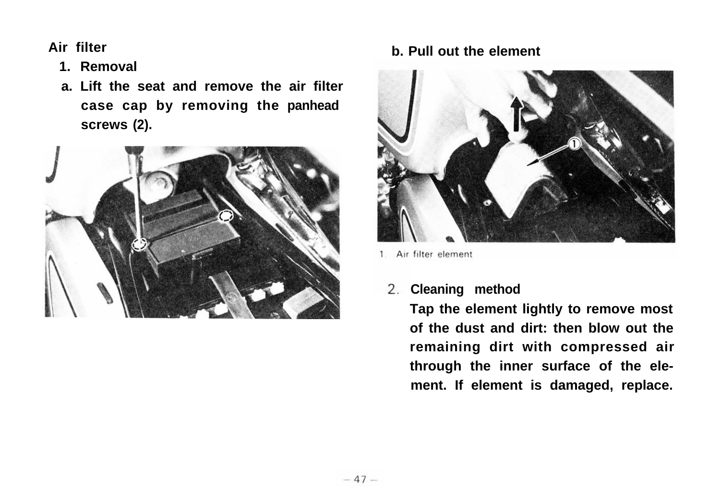**Air filter**

- **1. Removal**
- **a. Lift the seat and remove the air filter case cap by removing the panhead screws (2).**



## **b. Pull out the element**



1 Air filter element

## **Cleaning method**

**Tap the element lightly to remove most of the dust and dirt: then blow out the remaining dirt with compressed air through the inner surface of the element. If element is damaged, replace.**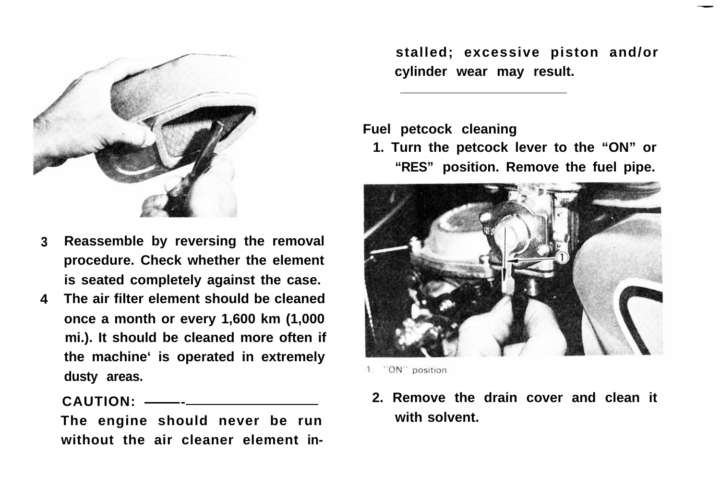

- **3 Reassemble by reversing the removal procedure. Check whether the element is seated completely against the case.**
- **4 The air filter element should be cleaned once a month or every 1,600 km (1,000 mi.). It should be cleaned more often if the machine' is operated in extremely dusty areas.**

**CAUTION: \_\_\_~**

**The engine should never be run without the air cleaner element in-** **stalled; excessive piston and/or cylinder wear may result.**

**Fuel petcock cleaning**

**1. Turn the petcock lever to the "ON" or "RES" position. Remove the fuel pipe.**



1. "ON" position

**2. Remove the drain cover and clean it with solvent.**